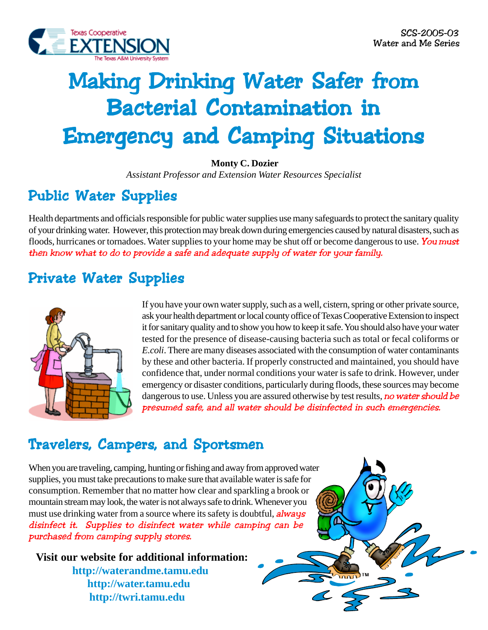

# Making Drinking Water Safer from **Bacterial Contamination in** Emergency and Camping Situations Emergency and Camping SituationsEmergency and Camping Situations

 **Monty C. Dozier**

*Assistant Professor and Extension Water Resources Specialist*

# Public Water Supplies

Health departments and officials responsible for public water supplies use many safeguards to protect the sanitary quality of your drinking water. However, this protection may break down during emergencies caused by natural disasters, such as floods, hurricanes or tornadoes. Water supplies to your home may be shut off or become dangerous to use. You must then know what to do to provide a safe and adequate supply of water for your family.

### Private Water Supplies



If you have your own water supply, such as a well, cistern, spring or other private source, ask your health department or local county office of Texas Cooperative Extension to inspect it for sanitary quality and to show you how to keep it safe. You should also have your water tested for the presence of disease-causing bacteria such as total or fecal coliforms or *E.coli*. There are many diseases associated with the consumption of water contaminants by these and other bacteria. If properly constructed and maintained, you should have confidence that, under normal conditions your water is safe to drink. However, under emergency or disaster conditions, particularly during floods, these sources may become dangerous to use. Unless you are assured otherwise by test results, no water should be presumed safe, and all water should be disinfected in such emergencies.

### Travelers, Campers, and Sportsmen

When you are traveling, camping, hunting or fishing and away from approved water supplies, you must take precautions to make sure that available water is safe for consumption. Remember that no matter how clear and sparkling a brook or mountain stream may look, the water is not always safe to drink. Whenever you must use drinking water from a source where its safety is doubtful, *always* disinfect it. Supplies to disinfect water while camping can be purchased from camping supply stores.

**Visit our website for additional information: http://waterandme.tamu.edu http://water.tamu.edu http://twri.tamu.edu**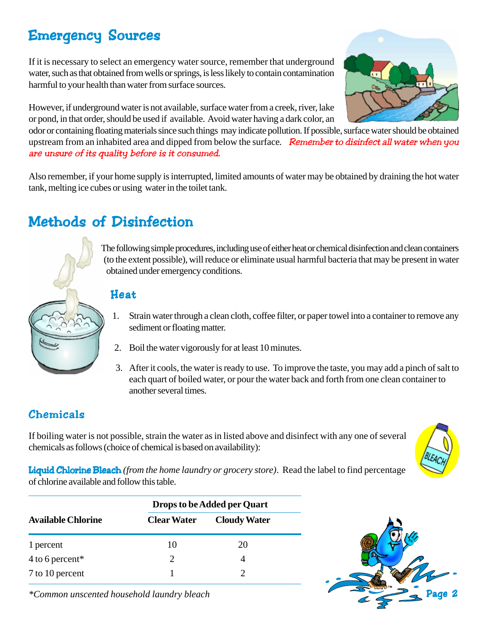# Emergency Sources

If it is necessary to select an emergency water source, remember that underground water, such as that obtained from wells or springs, is less likely to contain contamination harmful to your health than water from surface sources.

However, if underground water is not available, surface water from a creek, river, lake or pond, in that order, should be used if available. Avoid water having a dark color, an

odor or containing floating materials since such things may indicate pollution. If possible, surface water should be obtained upstream from an inhabited area and dipped from below the surface*.* Remember to disinfect all water when you are unsure of its quality before is it consumed.

Also remember, if your home supply is interrupted, limited amounts of water may be obtained by draining the hot water tank, melting ice cubes or using water in the toilet tank.

## Methods of Disinfection

The following simple procedures, including use of either heat or chemical disinfection and clean containers (to the extent possible), will reduce or eliminate usual harmful bacteria that may be present in water obtained under emergency conditions.

#### Heat

- 1. Strain water through a clean cloth, coffee filter, or paper towel into a container to remove any sediment or floating matter.
- 2. Boil the water vigorously for at least 10 minutes.
- 3. After it cools, the water is ready to use. To improve the taste, you may add a pinch of salt to each quart of boiled water, or pour the water back and forth from one clean container to another several times.

### Chemicals

If boiling water is not possible, strain the water as in listed above and disinfect with any one of several chemicals as follows (choice of chemical is based on availability):



Liquid Chlorine Bleach *(from the home laundry or grocery store)*. Read the label to find percentage of chlorine available and follow this table.

| <b>Available Chlorine</b> | <b>Drops to be Added per Quart</b> |                     |
|---------------------------|------------------------------------|---------------------|
|                           | <b>Clear Water</b>                 | <b>Cloudy Water</b> |
| 1 percent                 | 10                                 | 20                  |
| $4$ to 6 percent*         | 2                                  | 4                   |
| 7 to 10 percent           |                                    |                     |

*\*Common unscented household laundry bleach*